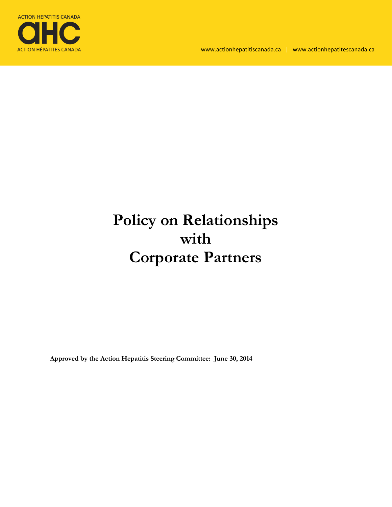

# **Policy on Relationships with Corporate Partners**

**Approved by the Action Hepatitis Steering Committee: June 30, 2014**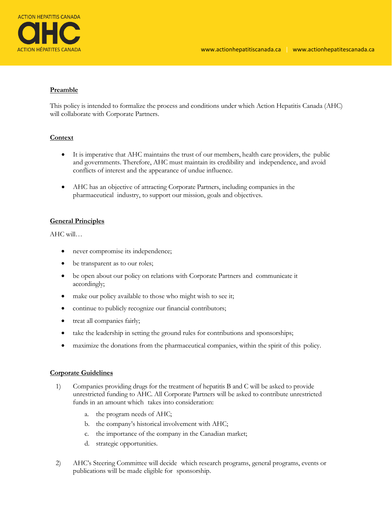

## **Preamble**

This policy is intended to formalize the process and conditions under which Action Hepatitis Canada (AHC) will collaborate with Corporate Partners.

## **Context**

- It is imperative that AHC maintains the trust of our members, health care providers, the public and governments. Therefore, AHC must maintain its credibility and independence, and avoid conflicts of interest and the appearance of undue influence.
- AHC has an objective of attracting Corporate Partners, including companies in the pharmaceutical industry, to support our mission, goals and objectives.

## **General Principles**

AHC will…

- never compromise its independence;
- be transparent as to our roles;
- be open about our policy on relations with Corporate Partners and communicate it accordingly;
- make our policy available to those who might wish to see it;
- continue to publicly recognize our financial contributors;
- treat all companies fairly;
- take the leadership in setting the ground rules for contributions and sponsorships;
- maximize the donations from the pharmaceutical companies, within the spirit of this policy.

### **Corporate Guidelines**

- 1) Companies providing drugs for the treatment of hepatitis B and C will be asked to provide unrestricted funding to AHC. All Corporate Partners will be asked to contribute unrestricted funds in an amount which takes into consideration:
	- a. the program needs of AHC;
	- b. the company's historical involvement with AHC;
	- c. the importance of the company in the Canadian market;
	- d. strategic opportunities.
- 2) AHC's Steering Committee will decide which research programs, general programs, events or publications will be made eligible for sponsorship.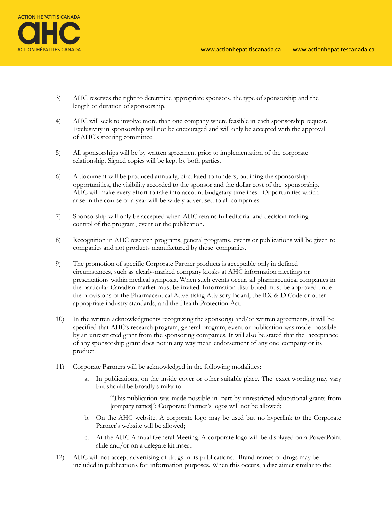

- 3) AHC reserves the right to determine appropriate sponsors, the type of sponsorship and the length or duration of sponsorship.
- 4) AHC will seek to involve more than one company where feasible in each sponsorship request. Exclusivity in sponsorship will not be encouraged and will only be accepted with the approval of AHC's steering committee
- 5) All sponsorships will be by written agreement prior to implementation of the corporate relationship. Signed copies will be kept by both parties.
- 6) A document will be produced annually, circulated to funders, outlining the sponsorship opportunities, the visibility accorded to the sponsor and the dollar cost of the sponsorship. AHC will make every effort to take into account budgetary timelines. Opportunities which arise in the course of a year will be widely advertised to all companies.
- 7) Sponsorship will only be accepted when AHC retains full editorial and decision-making control of the program, event or the publication.
- 8) Recognition in AHC research programs, general programs, events or publications will be given to companies and not products manufactured by these companies.
- 9) The promotion of specific Corporate Partner products is acceptable only in defined circumstances, such as clearly-marked company kiosks at AHC information meetings or presentations within medical symposia. When such events occur, all pharmaceutical companies in the particular Canadian market must be invited. Information distributed must be approved under the provisions of the Pharmaceutical Advertising Advisory Board, the RX & D Code or other appropriate industry standards, and the Health Protection Act.
- 10) In the written acknowledgments recognizing the sponsor(s) and/or written agreements, it will be specified that AHC's research program, general program, event or publication was made possible by an unrestricted grant from the sponsoring companies. It will also be stated that the acceptance of any sponsorship grant does not in any way mean endorsement of any one company or its product.
- 11) Corporate Partners will be acknowledged in the following modalities:
	- a. In publications, on the inside cover or other suitable place. The exact wording may vary but should be broadly similar to:

"This publication was made possible in part by unrestricted educational grants from [company names]"; Corporate Partner's logos will not be allowed;

- b. On the AHC website. A corporate logo may be used but no hyperlink to the Corporate Partner's website will be allowed;
- c. At the AHC Annual General Meeting. A corporate logo will be displayed on a PowerPoint slide and/or on a delegate kit insert.
- 12) AHC will not accept advertising of drugs in its publications. Brand names of drugs may be included in publications for information purposes. When this occurs, a disclaimer similar to the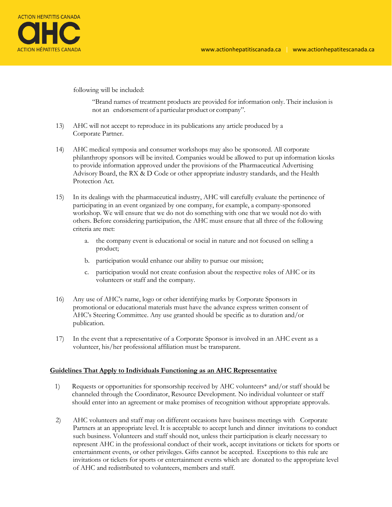

following will be included:

"Brand names of treatment products are provided for information only. Their inclusion is not an endorsement of a particular product or company".

- 13) AHC will not accept to reproduce in its publications any article produced by a Corporate Partner.
- 14) AHC medical symposia and consumer workshops may also be sponsored. All corporate philanthropy sponsors will be invited. Companies would be allowed to put up information kiosks to provide information approved under the provisions of the Pharmaceutical Advertising Advisory Board, the RX & D Code or other appropriate industry standards, and the Health Protection Act.
- 15) In its dealings with the pharmaceutical industry, AHC will carefully evaluate the pertinence of participating in an event organized by one company, for example, a company-sponsored workshop. We will ensure that we do not do something with one that we would not do with others. Before considering participation, the AHC must ensure that all three of the following criteria are met:
	- a. the company event is educational or social in nature and not focused on selling a product;
	- b. participation would enhance our ability to pursue our mission;
	- c. participation would not create confusion about the respective roles of AHC or its volunteers or staff and the company.
- 16) Any use of AHC's name, logo or other identifying marks by Corporate Sponsors in promotional or educational materials must have the advance express written consent of AHC's Steering Committee. Any use granted should be specific as to duration and/or publication.
- 17) In the event that a representative of a Corporate Sponsor is involved in an AHC event as a volunteer, his/her professional affiliation must be transparent.

### **Guidelines That Apply to Individuals Functioning as an AHC Representative**

- 1) Requests or opportunities for sponsorship received by AHC volunteers\* and/or staff should be channeled through the Coordinator, Resource Development. No individual volunteer or staff should enter into an agreement or make promises of recognition without appropriate approvals.
- 2) AHC volunteers and staff may on different occasions have business meetings with Corporate Partners at an appropriate level. It is acceptable to accept lunch and dinner invitations to conduct such business. Volunteers and staff should not, unless their participation is clearly necessary to represent AHC in the professional conduct of their work, accept invitations or tickets for sports or entertainment events, or other privileges. Gifts cannot be accepted. Exceptions to this rule are invitations or tickets for sports or entertainment events which are donated to the appropriate level of AHC and redistributed to volunteers, members and staff.